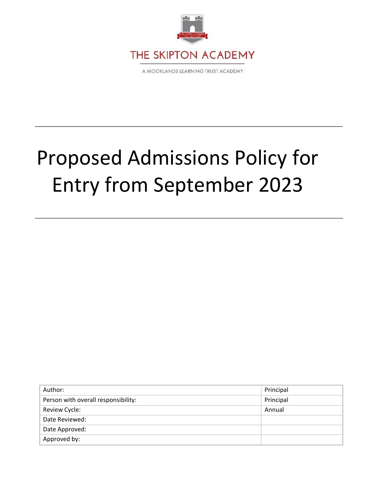

# Proposed Admissions Policy for Entry from September 2023

| Author:                             | Principal |
|-------------------------------------|-----------|
| Person with overall responsibility: | Principal |
| Review Cycle:                       | Annual    |
| Date Reviewed:                      |           |
| Date Approved:                      |           |
| Approved by:                        |           |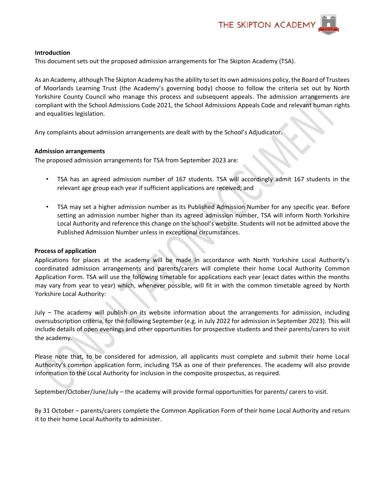

## **Introduction**

This document sets out the proposed admission arrangements for The Skipton Academy (TSA).

As an Academy, although The Skipton Academy has the ability to set its own admissions policy, the Board of Trustees of Moorlands Learning Trust (the Academy's governing body) choose to follow the criteria set out by North Yorkshire County Council who manage this process and subsequent appeals. The admission arrangements are compliant with the School Admissions Code 2021, the School Admissions Appeals Code and relevant human rights and equalities legislation.

Any complaints about admission arrangements are dealt with by the School's Adjudicator.

## **Admission arrangements**

The proposed admission arrangements for TSA from September 2023 are:

- TSA has an agreed admission number of 167 students. TSA will accordingly admit 167 students in the relevant age group each year if sufficient applications are received; and
- TSA may set a higher admission number as its Published Admission Number for any specific year. Before setting an admission number higher than its agreed admission number, TSA will inform North Yorkshire Local Authority and reference this change on the school's website. Students will not be admitted above the Published Admission Number unless in exceptional circumstances.

#### **Process of application**

Applications for places at the academy will be made in accordance with North Yorkshire Local Authority's coordinated admission arrangements and parents/carers will complete their home Local Authority Common Application Form. TSA will use the following timetable for applications each year (exact dates within the months may vary from year to year) which, whenever possible, will fit in with the common timetable agreed by North Yorkshire Local Authority:

July – The academy will publish on its website information about the arrangements for admission, including oversubscription criteria, for the following September (e.g. in July 2022 for admission in September 2023). This will include details of open evenings and other opportunities for prospective students and their parents/carers to visit the academy.

Please note that, to be considered for admission, all applicants must complete and submit their home Local Authority's common application form, including TSA as one of their preferences. The academy will also provide information to the Local Authority for inclusion in the composite prospectus, as required.

September/October/June/July – the academy will provide formal opportunities for parents/ carers to visit.

By 31 October – parents/carers complete the Common Application Form of their home Local Authority and return it to their home Local Authority to administer.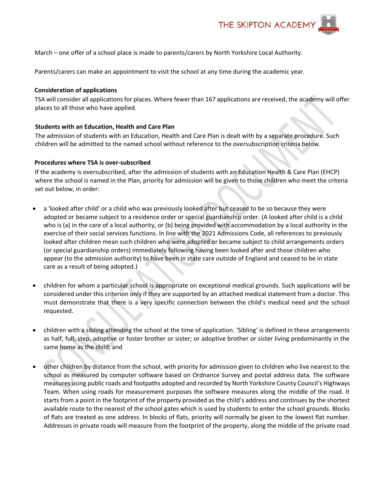

March – one offer of a school place is made to parents/carers by North Yorkshire Local Authority.

Parents/carers can make an appointment to visit the school at any time during the academic year.

# **Consideration of applications**

TSA will consider all applications for places. Where fewer than 167 applications are received, the academy will offer places to all those who have applied.

# **Students with an Education, Health and Care Plan**

The admission of students with an Education, Health and Care Plan is dealt with by a separate procedure. Such children will be admitted to the named school without reference to the oversubscription criteria below.

## **Procedures where TSA is over-subscribed**

If the academy is oversubscribed, after the admission of students with an Education Health & Care Plan (EHCP) where the school is named in the Plan, priority for admission will be given to those children who meet the criteria set out below, in order:

- a 'looked after child' or a child who was previously looked after but ceased to be so because they were adopted or became subject to a residence order or special guardianship order. (A looked after child is a child who is (a) in the care of a local authority, or (b) being provided with accommodation by a local authority in the exercise of their social services functions. In line with the 2021 Admissions Code, all references to previously looked after children mean such children who were adopted or became subject to child arrangements orders (or special guardianship orders) immediately following having been looked after and those children who appear (to the admission authority) to have been in state care outside of England and ceased to be in state care as a result of being adopted.)
- children for whom a particular school is appropriate on exceptional medical grounds. Such applications will be considered under this criterion only if they are supported by an attached medical statement from a doctor. This must demonstrate that there is a very specific connection between the child's medical need and the school requested.
- children with a sibling attending the school at the time of application. 'Sibling' is defined in these arrangements as half, full, step, adoptive or foster brother or sister; or adoptive brother or sister living predominantly in the same home as the child; and
- other children by distance from the school, with priority for admission given to children who live nearest to the school as measured by computer software based on Ordnance Survey and postal address data. The software measures using public roads and footpaths adopted and recorded by North Yorkshire County Council's Highways Team. When using roads for measurement purposes the software measures along the middle of the road. It starts from a point in the footprint of the property provided as the child's address and continues by the shortest available route to the nearest of the school gates which is used by students to enter the school grounds. Blocks of flats are treated as one address. In blocks of flats, priority will normally be given to the lowest flat number. Addresses in private roads will measure from the footprint of the property, along the middle of the private road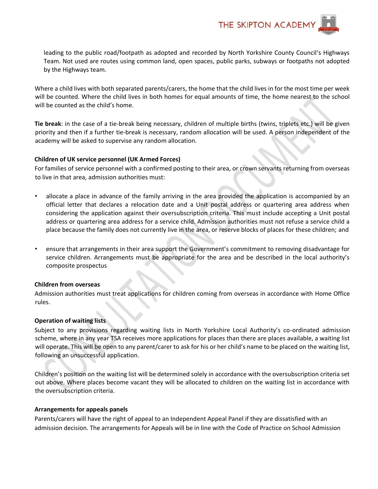

leading to the public road/footpath as adopted and recorded by North Yorkshire County Council's Highways Team. Not used are routes using common land, open spaces, public parks, subways or footpaths not adopted by the Highways team.

Where a child lives with both separated parents/carers, the home that the child lives in for the most time per week will be counted. Where the child lives in both homes for equal amounts of time, the home nearest to the school will be counted as the child's home.

**Tie break**: in the case of a tie-break being necessary, children of multiple births (twins, triplets etc.) will be given priority and then if a further tie-break is necessary, random allocation will be used. A person independent of the academy will be asked to supervise any random allocation.

## **Children of UK service personnel (UK Armed Forces)**

For families of service personnel with a confirmed posting to their area, or crown servants returning from overseas to live in that area, admission authorities must:

- allocate a place in advance of the family arriving in the area provided the application is accompanied by an official letter that declares a relocation date and a Unit postal address or quartering area address when considering the application against their oversubscription criteria. This must include accepting a Unit postal address or quartering area address for a service child. Admission authorities must not refuse a service child a place because the family does not currently live in the area, or reserve blocks of places for these children; and
- ensure that arrangements in their area support the Government's commitment to removing disadvantage for service children. Arrangements must be appropriate for the area and be described in the local authority's composite prospectus

#### **Children from overseas**

Admission authorities must treat applications for children coming from overseas in accordance with Home Office rules.

#### **Operation of waiting lists**

Subject to any provisions regarding waiting lists in North Yorkshire Local Authority's co-ordinated admission scheme, where in any year TSA receives more applications for places than there are places available, a waiting list will operate. This will be open to any parent/carer to ask for his or her child's name to be placed on the waiting list, following an unsuccessful application.

Children's position on the waiting list will be determined solely in accordance with the oversubscription criteria set out above. Where places become vacant they will be allocated to children on the waiting list in accordance with the oversubscription criteria.

#### **Arrangements for appeals panels**

Parents/carers will have the right of appeal to an Independent Appeal Panel if they are dissatisfied with an admission decision. The arrangements for Appeals will be in line with the Code of Practice on School Admission